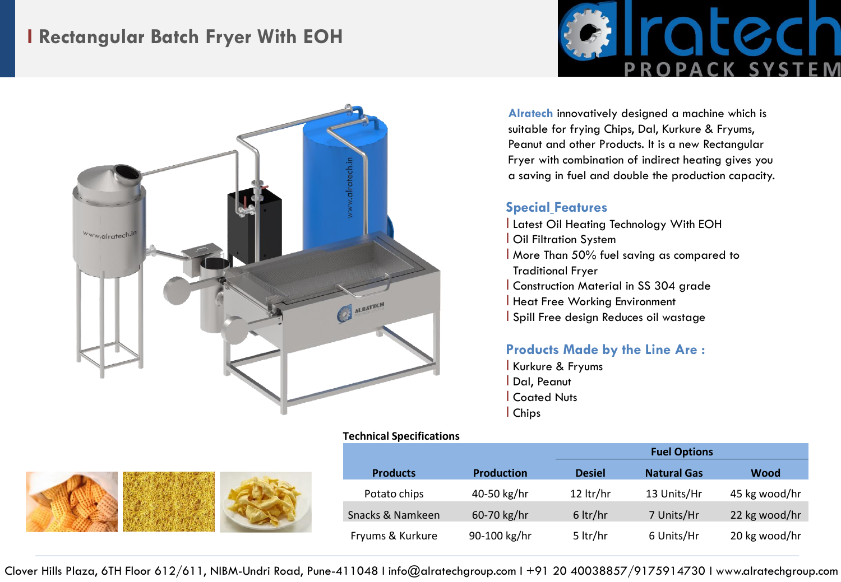# **I Rectangular Batch Fryer With EOH**



alratech. www.alratech.in ALRATECH

### **Alratech** innovatively designed a machine which is suitable for frying Chips, Dal, Kurkure & Fryums, Peanut and other Products. It is a new Rectangular Fryer with combination of indirect heating gives you a saving in fuel and double the production capacity.

#### **Special Features**

l Latest Oil Heating Technology With EOH l Oil Filtration System l More Than 50% fuel saving as compared to Traditional Fryer l Construction Material in SS 304 grade l Heat Free Working Environment l Spill Free design Reduces oil wastage

## **Products Made by the Line Are :**

l Kurkure & Fryums l Dal, Peanut l Coated Nuts l Chips

# **Technical Specifications**



| <b>Products</b>  | <b>Production</b> | <b>Desiel</b>      | <b>Natural Gas</b> | Wood          |
|------------------|-------------------|--------------------|--------------------|---------------|
| Potato chips     | 40-50 kg/hr       | 12 $\frac{tr}{hr}$ | 13 Units/Hr        | 45 kg wood/hr |
| Snacks & Namkeen | 60-70 kg/hr       | $6$ ltr/hr         | 7 Units/Hr         | 22 kg wood/hr |
| Fryums & Kurkure | 90-100 kg/hr      | 5 ltr/hr           | 6 Units/Hr         | 20 kg wood/hr |

Clover Hills Plaza, 6TH Floor 612/611, NIBM-Undri Road, Pune-411048 I info@alratechgroup.com I +91 20 40038857/9175914730 I www.alratechgroup.com